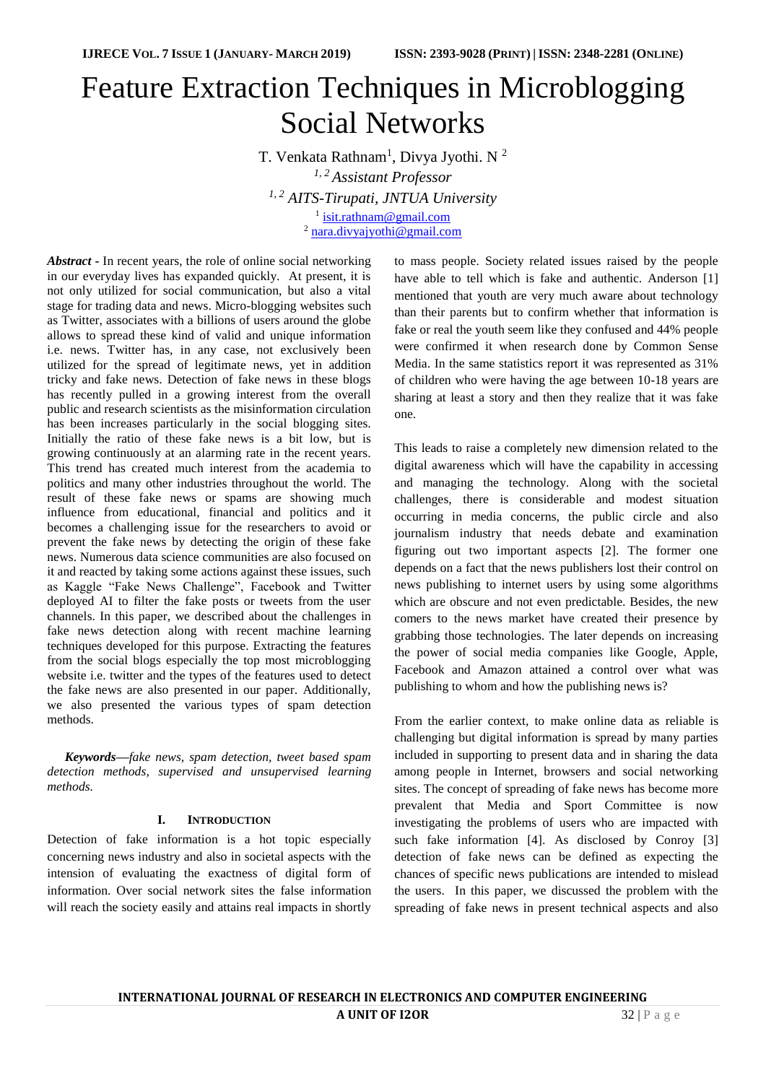# Feature Extraction Techniques in Microblogging Social Networks

T. Venkata Rathnam<sup>1</sup>, Divya Jyothi. N<sup>2</sup> *1, 2 Assistant Professor 1, <sup>2</sup> AITS-Tirupati, JNTUA University* <sup>1</sup> [isit.rathnam@gmail.com](mailto:isit.rathnam@gmail.com) <sup>2</sup> [nara.divyajyothi@gmail.com](mailto:nara.divyajyothi@gmail.com)

*Abstract* **-** In recent years, the role of online social networking in our everyday lives has expanded quickly. At present, it is not only utilized for social communication, but also a vital stage for trading data and news. Micro-blogging websites such as Twitter, associates with a billions of users around the globe allows to spread these kind of valid and unique information i.e. news. Twitter has, in any case, not exclusively been utilized for the spread of legitimate news, yet in addition tricky and fake news. Detection of fake news in these blogs has recently pulled in a growing interest from the overall public and research scientists as the misinformation circulation has been increases particularly in the social blogging sites. Initially the ratio of these fake news is a bit low, but is growing continuously at an alarming rate in the recent years. This trend has created much interest from the academia to politics and many other industries throughout the world. The result of these fake news or spams are showing much influence from educational, financial and politics and it becomes a challenging issue for the researchers to avoid or prevent the fake news by detecting the origin of these fake news. Numerous data science communities are also focused on it and reacted by taking some actions against these issues, such as Kaggle "Fake News Challenge", Facebook and Twitter deployed AI to filter the fake posts or tweets from the user channels. In this paper, we described about the challenges in fake news detection along with recent machine learning techniques developed for this purpose. Extracting the features from the social blogs especially the top most microblogging website i.e. twitter and the types of the features used to detect the fake news are also presented in our paper. Additionally, we also presented the various types of spam detection methods.

*Keywords—fake news, spam detection, tweet based spam detection methods, supervised and unsupervised learning methods.*

#### **I. INTRODUCTION**

Detection of fake information is a hot topic especially concerning news industry and also in societal aspects with the intension of evaluating the exactness of digital form of information. Over social network sites the false information will reach the society easily and attains real impacts in shortly to mass people. Society related issues raised by the people have able to tell which is fake and authentic. Anderson [1] mentioned that youth are very much aware about technology than their parents but to confirm whether that information is fake or real the youth seem like they confused and 44% people were confirmed it when research done by Common Sense Media. In the same statistics report it was represented as 31% of children who were having the age between 10-18 years are sharing at least a story and then they realize that it was fake one.

This leads to raise a completely new dimension related to the digital awareness which will have the capability in accessing and managing the technology. Along with the societal challenges, there is considerable and modest situation occurring in media concerns, the public circle and also journalism industry that needs debate and examination figuring out two important aspects [2]. The former one depends on a fact that the news publishers lost their control on news publishing to internet users by using some algorithms which are obscure and not even predictable. Besides, the new comers to the news market have created their presence by grabbing those technologies. The later depends on increasing the power of social media companies like Google, Apple, Facebook and Amazon attained a control over what was publishing to whom and how the publishing news is?

From the earlier context, to make online data as reliable is challenging but digital information is spread by many parties included in supporting to present data and in sharing the data among people in Internet, browsers and social networking sites. The concept of spreading of fake news has become more prevalent that Media and Sport Committee is now investigating the problems of users who are impacted with such fake information [4]. As disclosed by Conroy [3] detection of fake news can be defined as expecting the chances of specific news publications are intended to mislead the users. In this paper, we discussed the problem with the spreading of fake news in present technical aspects and also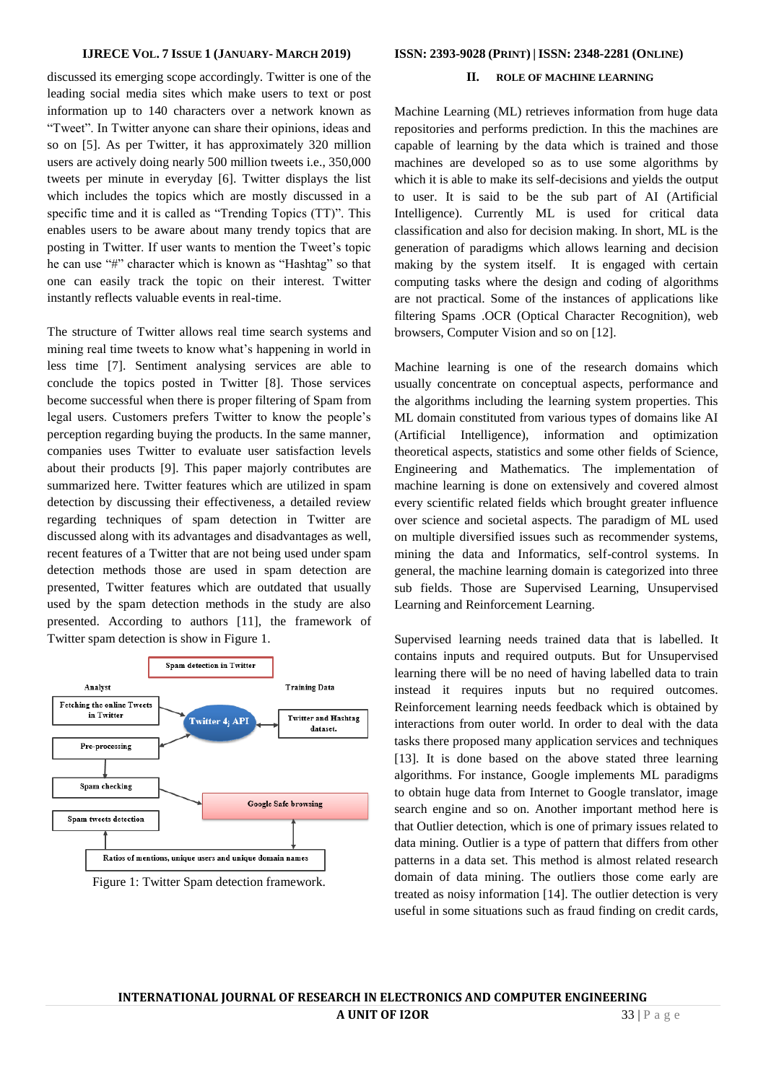discussed its emerging scope accordingly. Twitter is one of the leading social media sites which make users to text or post information up to 140 characters over a network known as "Tweet". In Twitter anyone can share their opinions, ideas and so on [5]. As per Twitter, it has approximately 320 million users are actively doing nearly 500 million tweets i.e., 350,000 tweets per minute in everyday [6]. Twitter displays the list which includes the topics which are mostly discussed in a specific time and it is called as "Trending Topics (TT)". This enables users to be aware about many trendy topics that are posting in Twitter. If user wants to mention the Tweet's topic he can use "#" character which is known as "Hashtag" so that one can easily track the topic on their interest. Twitter instantly reflects valuable events in real-time.

The structure of Twitter allows real time search systems and mining real time tweets to know what's happening in world in less time [7]. Sentiment analysing services are able to conclude the topics posted in Twitter [8]. Those services become successful when there is proper filtering of Spam from legal users. Customers prefers Twitter to know the people's perception regarding buying the products. In the same manner, companies uses Twitter to evaluate user satisfaction levels about their products [9]. This paper majorly contributes are summarized here. Twitter features which are utilized in spam detection by discussing their effectiveness, a detailed review regarding techniques of spam detection in Twitter are discussed along with its advantages and disadvantages as well, recent features of a Twitter that are not being used under spam detection methods those are used in spam detection are presented, Twitter features which are outdated that usually used by the spam detection methods in the study are also presented. According to authors [11], the framework of Twitter spam detection is show in Figure 1.





#### **IJRECE VOL. 7 ISSUE 1 (JANUARY- MARCH 2019) ISSN: 2393-9028 (PRINT) | ISSN: 2348-2281 (ONLINE)**

# **II. ROLE OF MACHINE LEARNING**

Machine Learning (ML) retrieves information from huge data repositories and performs prediction. In this the machines are capable of learning by the data which is trained and those machines are developed so as to use some algorithms by which it is able to make its self-decisions and yields the output to user. It is said to be the sub part of AI (Artificial Intelligence). Currently ML is used for critical data classification and also for decision making. In short, ML is the generation of paradigms which allows learning and decision making by the system itself. It is engaged with certain computing tasks where the design and coding of algorithms are not practical. Some of the instances of applications like filtering Spams .OCR (Optical Character Recognition), web browsers, Computer Vision and so on [12].

Machine learning is one of the research domains which usually concentrate on conceptual aspects, performance and the algorithms including the learning system properties. This ML domain constituted from various types of domains like AI (Artificial Intelligence), information and optimization theoretical aspects, statistics and some other fields of Science, Engineering and Mathematics. The implementation of machine learning is done on extensively and covered almost every scientific related fields which brought greater influence over science and societal aspects. The paradigm of ML used on multiple diversified issues such as recommender systems, mining the data and Informatics, self-control systems. In general, the machine learning domain is categorized into three sub fields. Those are Supervised Learning, Unsupervised Learning and Reinforcement Learning.

Supervised learning needs trained data that is labelled. It contains inputs and required outputs. But for Unsupervised learning there will be no need of having labelled data to train instead it requires inputs but no required outcomes. Reinforcement learning needs feedback which is obtained by interactions from outer world. In order to deal with the data tasks there proposed many application services and techniques [13]. It is done based on the above stated three learning algorithms. For instance, Google implements ML paradigms to obtain huge data from Internet to Google translator, image search engine and so on. Another important method here is that Outlier detection, which is one of primary issues related to data mining. Outlier is a type of pattern that differs from other patterns in a data set. This method is almost related research domain of data mining. The outliers those come early are treated as noisy information [14]. The outlier detection is very useful in some situations such as fraud finding on credit cards,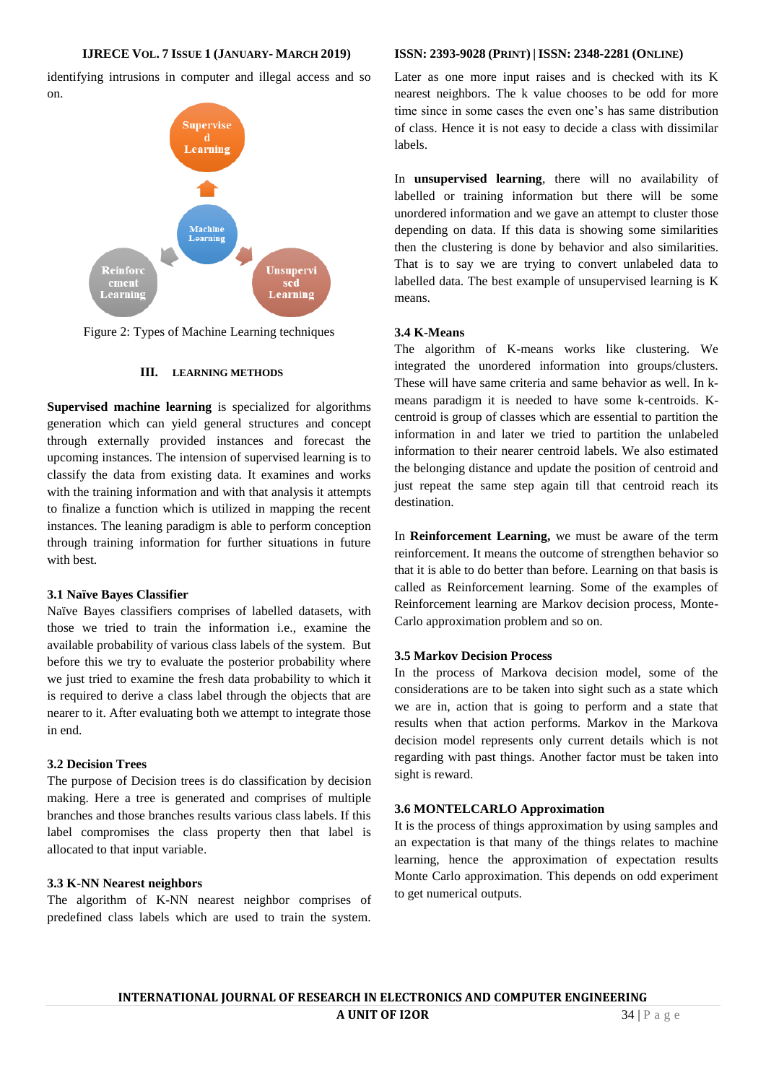identifying intrusions in computer and illegal access and so on.



Figure 2: Types of Machine Learning techniques

# **III. LEARNING METHODS**

**Supervised machine learning** is specialized for algorithms generation which can yield general structures and concept through externally provided instances and forecast the upcoming instances. The intension of supervised learning is to classify the data from existing data. It examines and works with the training information and with that analysis it attempts to finalize a function which is utilized in mapping the recent instances. The leaning paradigm is able to perform conception through training information for further situations in future with best.

# **3.1 Naïve Bayes Classifier**

Naïve Bayes classifiers comprises of labelled datasets, with those we tried to train the information i.e., examine the available probability of various class labels of the system. But before this we try to evaluate the posterior probability where we just tried to examine the fresh data probability to which it is required to derive a class label through the objects that are nearer to it. After evaluating both we attempt to integrate those in end.

#### **3.2 Decision Trees**

The purpose of Decision trees is do classification by decision making. Here a tree is generated and comprises of multiple branches and those branches results various class labels. If this label compromises the class property then that label is allocated to that input variable.

# **3.3 K-NN Nearest neighbors**

The algorithm of K-NN nearest neighbor comprises of predefined class labels which are used to train the system.

#### **IJRECE VOL. 7 ISSUE 1 (JANUARY- MARCH 2019) ISSN: 2393-9028 (PRINT) | ISSN: 2348-2281 (ONLINE)**

Later as one more input raises and is checked with its K nearest neighbors. The k value chooses to be odd for more time since in some cases the even one's has same distribution of class. Hence it is not easy to decide a class with dissimilar labels.

In **unsupervised learning**, there will no availability of labelled or training information but there will be some unordered information and we gave an attempt to cluster those depending on data. If this data is showing some similarities then the clustering is done by behavior and also similarities. That is to say we are trying to convert unlabeled data to labelled data. The best example of unsupervised learning is K means.

# **3.4 K-Means**

The algorithm of K-means works like clustering. We integrated the unordered information into groups/clusters. These will have same criteria and same behavior as well. In kmeans paradigm it is needed to have some k-centroids. Kcentroid is group of classes which are essential to partition the information in and later we tried to partition the unlabeled information to their nearer centroid labels. We also estimated the belonging distance and update the position of centroid and just repeat the same step again till that centroid reach its destination.

In **Reinforcement Learning,** we must be aware of the term reinforcement. It means the outcome of strengthen behavior so that it is able to do better than before. Learning on that basis is called as Reinforcement learning. Some of the examples of Reinforcement learning are Markov decision process, Monte-Carlo approximation problem and so on.

# **3.5 Markov Decision Process**

In the process of Markova decision model, some of the considerations are to be taken into sight such as a state which we are in, action that is going to perform and a state that results when that action performs. Markov in the Markova decision model represents only current details which is not regarding with past things. Another factor must be taken into sight is reward.

# **3.6 MONTELCARLO Approximation**

It is the process of things approximation by using samples and an expectation is that many of the things relates to machine learning, hence the approximation of expectation results Monte Carlo approximation. This depends on odd experiment to get numerical outputs.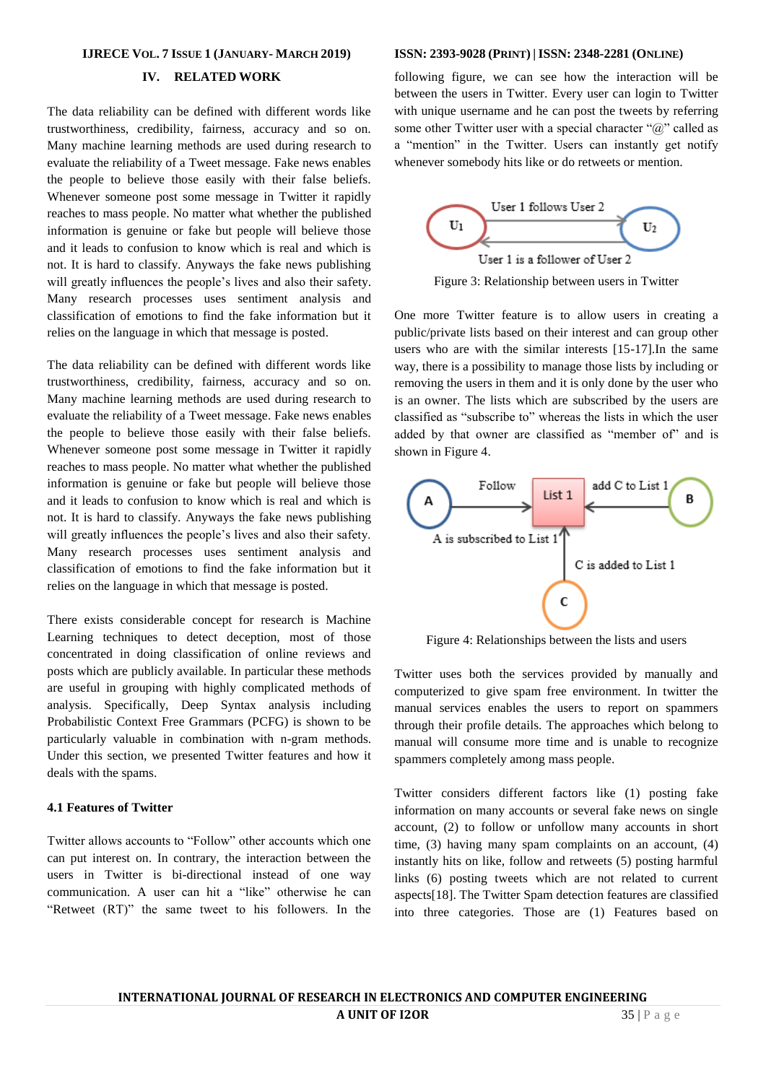#### **IJRECE VOL. 7 ISSUE 1 (JANUARY- MARCH 2019) ISSN: 2393-9028 (PRINT) | ISSN: 2348-2281 (ONLINE)**

# **IV. RELATED WORK**

The data reliability can be defined with different words like trustworthiness, credibility, fairness, accuracy and so on. Many machine learning methods are used during research to evaluate the reliability of a Tweet message. Fake news enables the people to believe those easily with their false beliefs. Whenever someone post some message in Twitter it rapidly reaches to mass people. No matter what whether the published information is genuine or fake but people will believe those and it leads to confusion to know which is real and which is not. It is hard to classify. Anyways the fake news publishing will greatly influences the people's lives and also their safety. Many research processes uses sentiment analysis and classification of emotions to find the fake information but it relies on the language in which that message is posted.

The data reliability can be defined with different words like trustworthiness, credibility, fairness, accuracy and so on. Many machine learning methods are used during research to evaluate the reliability of a Tweet message. Fake news enables the people to believe those easily with their false beliefs. Whenever someone post some message in Twitter it rapidly reaches to mass people. No matter what whether the published information is genuine or fake but people will believe those and it leads to confusion to know which is real and which is not. It is hard to classify. Anyways the fake news publishing will greatly influences the people's lives and also their safety. Many research processes uses sentiment analysis and classification of emotions to find the fake information but it relies on the language in which that message is posted.

There exists considerable concept for research is Machine Learning techniques to detect deception, most of those concentrated in doing classification of online reviews and posts which are publicly available. In particular these methods are useful in grouping with highly complicated methods of analysis. Specifically, Deep Syntax analysis including Probabilistic Context Free Grammars (PCFG) is shown to be particularly valuable in combination with n-gram methods. Under this section, we presented Twitter features and how it deals with the spams.

### **4.1 Features of Twitter**

Twitter allows accounts to "Follow" other accounts which one can put interest on. In contrary, the interaction between the users in Twitter is bi-directional instead of one way communication. A user can hit a "like" otherwise he can "Retweet (RT)" the same tweet to his followers. In the

following figure, we can see how the interaction will be between the users in Twitter. Every user can login to Twitter with unique username and he can post the tweets by referring some other Twitter user with a special character " $\omega$ " called as a "mention" in the Twitter. Users can instantly get notify whenever somebody hits like or do retweets or mention.



Figure 3: Relationship between users in Twitter

One more Twitter feature is to allow users in creating a public/private lists based on their interest and can group other users who are with the similar interests [15-17].In the same way, there is a possibility to manage those lists by including or removing the users in them and it is only done by the user who is an owner. The lists which are subscribed by the users are classified as "subscribe to" whereas the lists in which the user added by that owner are classified as "member of" and is shown in Figure 4.



Figure 4: Relationships between the lists and users

Twitter uses both the services provided by manually and computerized to give spam free environment. In twitter the manual services enables the users to report on spammers through their profile details. The approaches which belong to manual will consume more time and is unable to recognize spammers completely among mass people.

Twitter considers different factors like (1) posting fake information on many accounts or several fake news on single account, (2) to follow or unfollow many accounts in short time, (3) having many spam complaints on an account, (4) instantly hits on like, follow and retweets (5) posting harmful links (6) posting tweets which are not related to current aspects[18]. The Twitter Spam detection features are classified into three categories. Those are (1) Features based on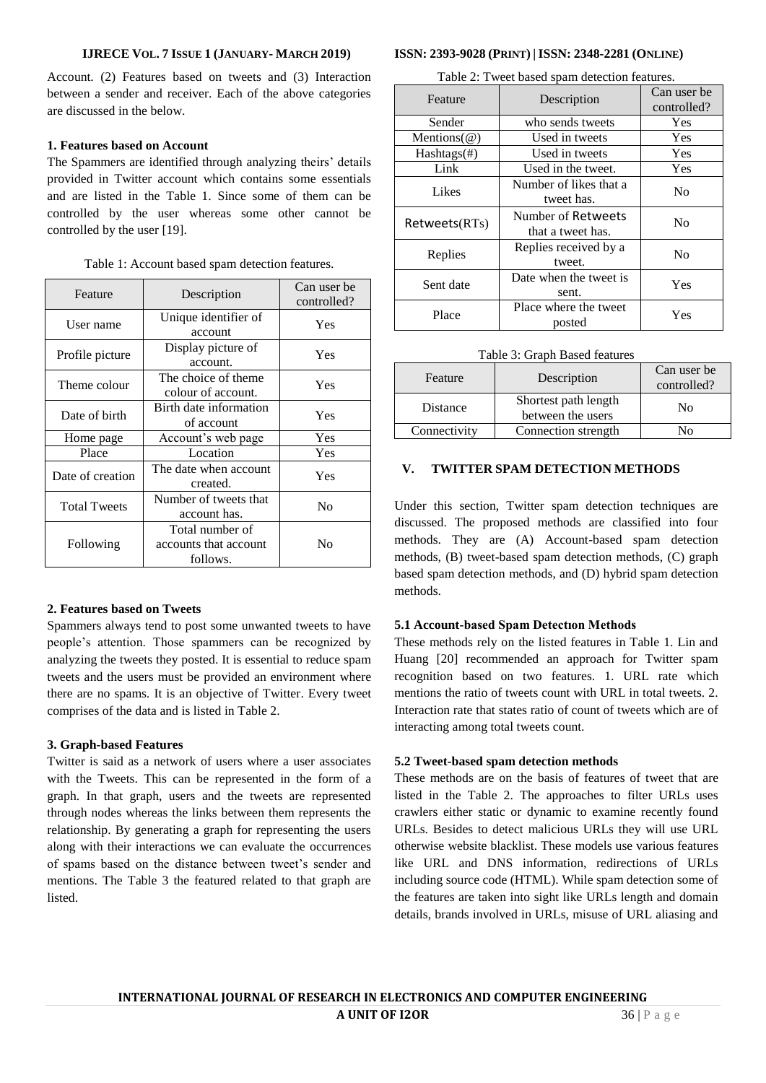Account. (2) Features based on tweets and (3) Interaction between a sender and receiver. Each of the above categories are discussed in the below.

# **1. Features based on Account**

The Spammers are identified through analyzing theirs' details provided in Twitter account which contains some essentials and are listed in the Table 1. Since some of them can be controlled by the user whereas some other cannot be controlled by the user [19].

| Feature             | Description                                          | Can user be<br>controlled? |
|---------------------|------------------------------------------------------|----------------------------|
| User name           | Unique identifier of<br>account                      | Yes                        |
| Profile picture     | Display picture of<br>account.                       | Yes                        |
| Theme colour        | The choice of theme<br>colour of account.            | Yes                        |
| Date of birth       | Birth date information<br>of account                 | Yes                        |
| Home page           | Account's web page                                   | <b>Yes</b>                 |
| Place               | Location                                             | Yes                        |
| Date of creation    | The date when account<br>created.                    | Yes                        |
| <b>Total Tweets</b> | Number of tweets that<br>account has.                | No                         |
| Following           | Total number of<br>accounts that account<br>follows. | No                         |

### Table 1: Account based spam detection features.

# **2. Features based on Tweets**

Spammers always tend to post some unwanted tweets to have people's attention. Those spammers can be recognized by analyzing the tweets they posted. It is essential to reduce spam tweets and the users must be provided an environment where there are no spams. It is an objective of Twitter. Every tweet comprises of the data and is listed in Table 2.

# **3. Graph-based Features**

Twitter is said as a network of users where a user associates with the Tweets. This can be represented in the form of a graph. In that graph, users and the tweets are represented through nodes whereas the links between them represents the relationship. By generating a graph for representing the users along with their interactions we can evaluate the occurrences of spams based on the distance between tweet's sender and mentions. The Table 3 the featured related to that graph are listed.

#### **IJRECE VOL. 7 ISSUE 1 (JANUARY- MARCH 2019) ISSN: 2393-9028 (PRINT) | ISSN: 2348-2281 (ONLINE)**

Table 2: Tweet based spam detection features.

| Feature             | Description                             | Can user be<br>controlled? |
|---------------------|-----------------------------------------|----------------------------|
| Sender              | who sends tweets                        | Yes                        |
| Mentions $(\omega)$ | Used in tweets                          | Yes                        |
| Hashtags(#)         | Used in tweets                          | Yes                        |
| Link                | Used in the tweet.                      | Yes                        |
| Likes               | Number of likes that a<br>tweet has.    | N <sub>0</sub>             |
| Retweets(RTs)       | Number of Retweets<br>that a tweet has. | N <sub>0</sub>             |
| Replies             | Replies received by a<br>tweet.         | N <sub>0</sub>             |
| Sent date           | Date when the tweet is<br>sent.         | Yes                        |
| Place               | Place where the tweet<br>posted         | Yes                        |

| Feature      | Description                               | Can user be<br>controlled? |
|--------------|-------------------------------------------|----------------------------|
| Distance     | Shortest path length<br>between the users | No                         |
| Connectivity | Connection strength                       | Nο                         |

### **V. TWITTER SPAM DETECTION METHODS**

Under this section, Twitter spam detection techniques are discussed. The proposed methods are classified into four methods. They are (A) Account-based spam detection methods, (B) tweet-based spam detection methods, (C) graph based spam detection methods, and (D) hybrid spam detection methods.

# **5.1 Account-based Spam Detectıon Methods**

These methods rely on the listed features in Table 1. Lin and Huang [20] recommended an approach for Twitter spam recognition based on two features. 1. URL rate which mentions the ratio of tweets count with URL in total tweets. 2. Interaction rate that states ratio of count of tweets which are of interacting among total tweets count.

#### **5.2 Tweet-based spam detection methods**

These methods are on the basis of features of tweet that are listed in the Table 2. The approaches to filter URLs uses crawlers either static or dynamic to examine recently found URLs. Besides to detect malicious URLs they will use URL otherwise website blacklist. These models use various features like URL and DNS information, redirections of URLs including source code (HTML). While spam detection some of the features are taken into sight like URLs length and domain details, brands involved in URLs, misuse of URL aliasing and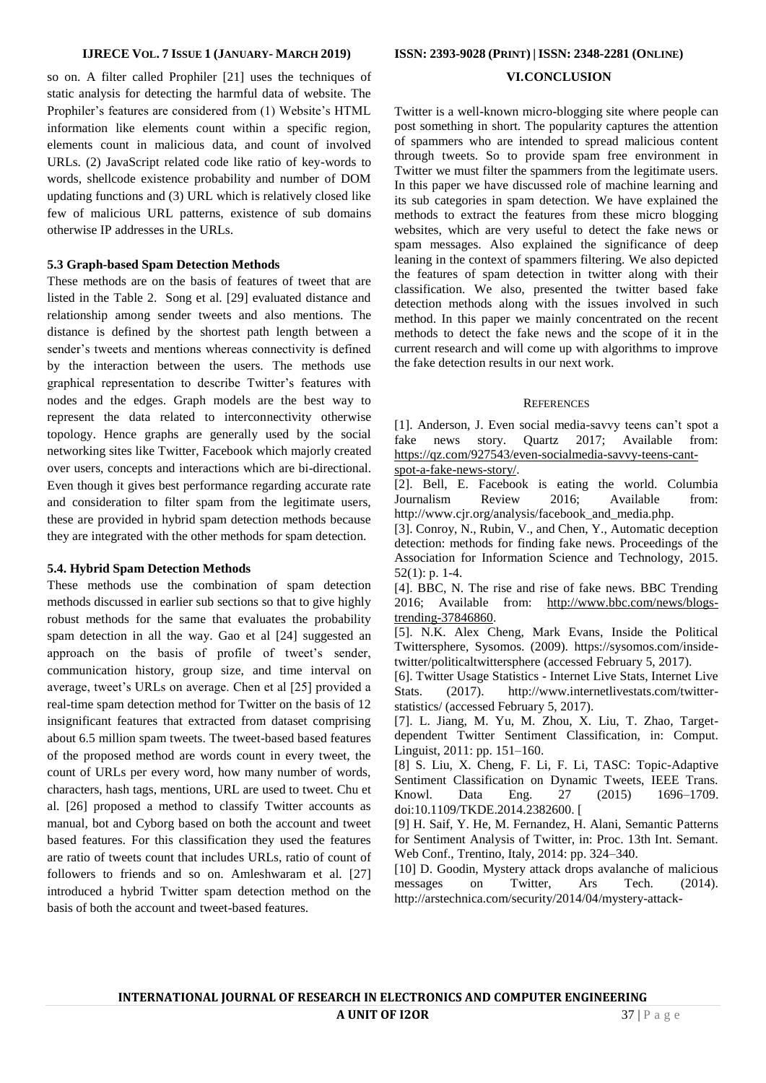so on. A filter called Prophiler [21] uses the techniques of static analysis for detecting the harmful data of website. The Prophiler's features are considered from (1) Website's HTML information like elements count within a specific region, elements count in malicious data, and count of involved URLs. (2) JavaScript related code like ratio of key-words to words, shellcode existence probability and number of DOM updating functions and (3) URL which is relatively closed like few of malicious URL patterns, existence of sub domains otherwise IP addresses in the URLs.

### **5.3 Graph-based Spam Detection Methods**

These methods are on the basis of features of tweet that are listed in the Table 2. Song et al. [29] evaluated distance and relationship among sender tweets and also mentions. The distance is defined by the shortest path length between a sender's tweets and mentions whereas connectivity is defined by the interaction between the users. The methods use graphical representation to describe Twitter's features with nodes and the edges. Graph models are the best way to represent the data related to interconnectivity otherwise topology. Hence graphs are generally used by the social networking sites like Twitter, Facebook which majorly created over users, concepts and interactions which are bi-directional. Even though it gives best performance regarding accurate rate and consideration to filter spam from the legitimate users, these are provided in hybrid spam detection methods because they are integrated with the other methods for spam detection.

#### **5.4. Hybrid Spam Detection Methods**

These methods use the combination of spam detection methods discussed in earlier sub sections so that to give highly robust methods for the same that evaluates the probability spam detection in all the way. Gao et al [24] suggested an approach on the basis of profile of tweet's sender, communication history, group size, and time interval on average, tweet's URLs on average. Chen et al [25] provided a real-time spam detection method for Twitter on the basis of 12 insignificant features that extracted from dataset comprising about 6.5 million spam tweets. The tweet-based based features of the proposed method are words count in every tweet, the count of URLs per every word, how many number of words, characters, hash tags, mentions, URL are used to tweet. Chu et al. [26] proposed a method to classify Twitter accounts as manual, bot and Cyborg based on both the account and tweet based features. For this classification they used the features are ratio of tweets count that includes URLs, ratio of count of followers to friends and so on. Amleshwaram et al. [27] introduced a hybrid Twitter spam detection method on the basis of both the account and tweet-based features.

# **VI.CONCLUSION**

Twitter is a well-known micro-blogging site where people can post something in short. The popularity captures the attention of spammers who are intended to spread malicious content through tweets. So to provide spam free environment in Twitter we must filter the spammers from the legitimate users. In this paper we have discussed role of machine learning and its sub categories in spam detection. We have explained the methods to extract the features from these micro blogging websites, which are very useful to detect the fake news or spam messages. Also explained the significance of deep leaning in the context of spammers filtering. We also depicted the features of spam detection in twitter along with their classification. We also, presented the twitter based fake detection methods along with the issues involved in such method. In this paper we mainly concentrated on the recent methods to detect the fake news and the scope of it in the current research and will come up with algorithms to improve the fake detection results in our next work.

#### **REFERENCES**

[1]. Anderson, J. Even social media-savvy teens can't spot a fake news story. Quartz 2017; Available from: [https://qz.com/927543/even-socialmedia-savvy-teens-cant](https://qz.com/927543/even-socialmedia-savvy-teens-cant-spot-a-fake-news-story/)[spot-a-fake-news-story/.](https://qz.com/927543/even-socialmedia-savvy-teens-cant-spot-a-fake-news-story/)

[2]. Bell, E. Facebook is eating the world. Columbia Journalism Review 2016; Available from: http://www.cjr.org/analysis/facebook\_and\_media.php.

[3]. Conroy, N., Rubin, V., and Chen, Y., Automatic deception detection: methods for finding fake news. Proceedings of the Association for Information Science and Technology, 2015. 52(1): p. 1-4.

[4]. BBC, N. The rise and rise of fake news. BBC Trending 2016; Available from: [http://www.bbc.com/news/blogs](http://www.bbc.com/news/blogs-trending-37846860)[trending-37846860.](http://www.bbc.com/news/blogs-trending-37846860)

[5]. N.K. Alex Cheng, Mark Evans, Inside the Political Twittersphere, Sysomos. (2009). https://sysomos.com/insidetwitter/politicaltwittersphere (accessed February 5, 2017).

[6]. Twitter Usage Statistics - Internet Live Stats, Internet Live Stats. (2017). http://www.internetlivestats.com/twitterstatistics/ (accessed February 5, 2017).

[7]. L. Jiang, M. Yu, M. Zhou, X. Liu, T. Zhao, Targetdependent Twitter Sentiment Classification, in: Comput. Linguist, 2011: pp. 151–160.

[8] S. Liu, X. Cheng, F. Li, F. Li, TASC: Topic-Adaptive Sentiment Classification on Dynamic Tweets, IEEE Trans. Knowl. Data Eng. 27 (2015) 1696–1709. doi:10.1109/TKDE.2014.2382600. [

[9] H. Saif, Y. He, M. Fernandez, H. Alani, Semantic Patterns for Sentiment Analysis of Twitter, in: Proc. 13th Int. Semant. Web Conf., Trentino, Italy, 2014: pp. 324–340.

[10] D. Goodin, Mystery attack drops avalanche of malicious messages on Twitter, Ars Tech. (2014). http://arstechnica.com/security/2014/04/mystery-attack